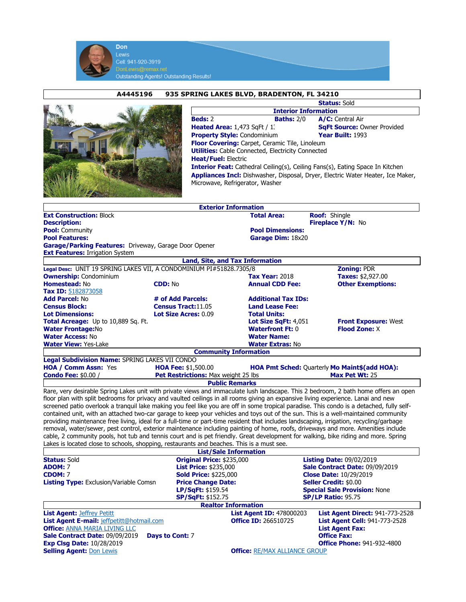|                                                                                           | <b>Don</b><br><b>Lewis</b>                                            |                                                           |                                                                                        |                                                                                                                                                                                                                                                                                 |  |
|-------------------------------------------------------------------------------------------|-----------------------------------------------------------------------|-----------------------------------------------------------|----------------------------------------------------------------------------------------|---------------------------------------------------------------------------------------------------------------------------------------------------------------------------------------------------------------------------------------------------------------------------------|--|
|                                                                                           | Cell: 941-920-3919                                                    |                                                           |                                                                                        |                                                                                                                                                                                                                                                                                 |  |
|                                                                                           | DonLewis@remax.net<br><b>Outstanding Agents! Outstanding Results!</b> |                                                           |                                                                                        |                                                                                                                                                                                                                                                                                 |  |
|                                                                                           |                                                                       |                                                           |                                                                                        |                                                                                                                                                                                                                                                                                 |  |
|                                                                                           | A4445196                                                              |                                                           | 935 SPRING LAKES BLVD, BRADENTON, FL 34210                                             |                                                                                                                                                                                                                                                                                 |  |
|                                                                                           |                                                                       |                                                           | <b>Status: Sold</b>                                                                    |                                                                                                                                                                                                                                                                                 |  |
|                                                                                           |                                                                       |                                                           | <b>Interior Information</b><br><b>Beds: 2</b><br><b>Baths: 2/0</b><br>A/C: Central Air |                                                                                                                                                                                                                                                                                 |  |
|                                                                                           |                                                                       | <b>Heated Area:</b> $1,473$ SqFt $/1$ .                   |                                                                                        | <b>SqFt Source: Owner Provided</b>                                                                                                                                                                                                                                              |  |
|                                                                                           |                                                                       | <b>Property Style: Condominium</b>                        |                                                                                        | Year Built: 1993                                                                                                                                                                                                                                                                |  |
|                                                                                           |                                                                       |                                                           | Floor Covering: Carpet, Ceramic Tile, Linoleum                                         |                                                                                                                                                                                                                                                                                 |  |
|                                                                                           |                                                                       |                                                           | <b>Utilities:</b> Cable Connected, Electricity Connected                               |                                                                                                                                                                                                                                                                                 |  |
|                                                                                           |                                                                       | <b>Heat/Fuel: Electric</b>                                |                                                                                        |                                                                                                                                                                                                                                                                                 |  |
|                                                                                           |                                                                       |                                                           |                                                                                        | <b>Interior Feat:</b> Cathedral Ceiling(s), Ceiling Fans(s), Eating Space In Kitchen<br>Appliances Incl: Dishwasher, Disposal, Dryer, Electric Water Heater, Ice Maker,                                                                                                         |  |
|                                                                                           |                                                                       | Microwave, Refrigerator, Washer                           |                                                                                        |                                                                                                                                                                                                                                                                                 |  |
|                                                                                           |                                                                       |                                                           |                                                                                        |                                                                                                                                                                                                                                                                                 |  |
|                                                                                           |                                                                       |                                                           |                                                                                        |                                                                                                                                                                                                                                                                                 |  |
|                                                                                           |                                                                       | <b>Exterior Information</b>                               |                                                                                        |                                                                                                                                                                                                                                                                                 |  |
| <b>Ext Construction: Block</b><br><b>Description:</b>                                     |                                                                       |                                                           | <b>Total Area:</b>                                                                     | Roof: Shingle<br>Fireplace Y/N: No                                                                                                                                                                                                                                              |  |
| <b>Pool: Community</b>                                                                    |                                                                       |                                                           | <b>Pool Dimensions:</b>                                                                |                                                                                                                                                                                                                                                                                 |  |
| <b>Pool Features:</b>                                                                     |                                                                       |                                                           | Garage Dim: 18x20                                                                      |                                                                                                                                                                                                                                                                                 |  |
| Garage/Parking Features: Driveway, Garage Door Opener                                     |                                                                       |                                                           |                                                                                        |                                                                                                                                                                                                                                                                                 |  |
| <b>Ext Features: Irrigation System</b>                                                    |                                                                       |                                                           |                                                                                        |                                                                                                                                                                                                                                                                                 |  |
| Legal Desc: UNIT 19 SPRING LAKES VII, A CONDOMINIUM PI#51828.7305/8                       |                                                                       | Land, Site, and Tax Information                           |                                                                                        | <b>Zoning: PDR</b>                                                                                                                                                                                                                                                              |  |
| <b>Ownership:</b> Condominium                                                             |                                                                       |                                                           | <b>Tax Year: 2018</b>                                                                  | Taxes: \$2,927.00                                                                                                                                                                                                                                                               |  |
| Homestead: No                                                                             | <b>CDD: No</b>                                                        |                                                           | <b>Annual CDD Fee:</b>                                                                 | <b>Other Exemptions:</b>                                                                                                                                                                                                                                                        |  |
| Tax ID: 5182873058                                                                        |                                                                       |                                                           |                                                                                        |                                                                                                                                                                                                                                                                                 |  |
| <b>Add Parcel: No</b>                                                                     |                                                                       | # of Add Parcels:                                         |                                                                                        | <b>Additional Tax IDs:</b>                                                                                                                                                                                                                                                      |  |
| <b>Census Block:</b><br><b>Lot Dimensions:</b>                                            |                                                                       | Census Tract: 11.05<br><b>Lot Size Acres: 0.09</b>        |                                                                                        |                                                                                                                                                                                                                                                                                 |  |
| Total Acreage: Up to 10,889 Sq. Ft.                                                       |                                                                       |                                                           | <b>Total Units:</b><br>Lot Size SqFt: 4,051                                            | <b>Front Exposure: West</b>                                                                                                                                                                                                                                                     |  |
| <b>Water Frontage:No</b>                                                                  |                                                                       |                                                           | <b>Waterfront Ft: 0</b>                                                                | <b>Flood Zone: X</b>                                                                                                                                                                                                                                                            |  |
| <b>Water Access: No</b>                                                                   |                                                                       |                                                           | <b>Water Name:</b>                                                                     |                                                                                                                                                                                                                                                                                 |  |
| <b>Water View: Yes-Lake</b>                                                               |                                                                       |                                                           | <b>Water Extras: No</b>                                                                |                                                                                                                                                                                                                                                                                 |  |
|                                                                                           |                                                                       | <b>Community Information</b>                              |                                                                                        |                                                                                                                                                                                                                                                                                 |  |
| Legal Subdivision Name: SPRING LAKES VII CONDO<br><b>HOA / Comm Assn: Yes</b>             |                                                                       | <b>HOA Fee: \$1,500.00</b>                                |                                                                                        | HOA Pmt Sched: Quarterly Mo Maint\$(add HOA):                                                                                                                                                                                                                                   |  |
| <b>Condo Fee: \$0.00 /</b>                                                                |                                                                       |                                                           |                                                                                        | <b>Pet Restrictions:</b> Max weight 25 lbs <b>Max Pet Wt:</b> 25                                                                                                                                                                                                                |  |
|                                                                                           |                                                                       | <b>Public Remarks</b>                                     |                                                                                        |                                                                                                                                                                                                                                                                                 |  |
|                                                                                           |                                                                       |                                                           |                                                                                        | Rare, very desirable Spring Lakes unit with private views and immaculate lush landscape. This 2 bedroom, 2 bath home offers an open                                                                                                                                             |  |
|                                                                                           |                                                                       |                                                           |                                                                                        | floor plan with split bedrooms for privacy and vaulted ceilings in all rooms giving an expansive living experience. Lanai and new                                                                                                                                               |  |
|                                                                                           |                                                                       |                                                           |                                                                                        | screened patio overlook a tranquil lake making you feel like you are off in some tropical paradise. This condo is a detached, fully self-<br>contained unit, with an attached two-car garage to keep your vehicles and toys out of the sun. This is a well-maintained community |  |
|                                                                                           |                                                                       |                                                           |                                                                                        | providing maintenance free living, ideal for a full-time or part-time resident that includes landscaping, irrigation, recycling/garbage                                                                                                                                         |  |
|                                                                                           |                                                                       |                                                           |                                                                                        | removal, water/sewer, pest control, exterior maintenance including painting of home, roofs, driveways and more. Amenities include                                                                                                                                               |  |
|                                                                                           |                                                                       |                                                           |                                                                                        | cable, 2 community pools, hot tub and tennis court and is pet friendly. Great development for walking, bike riding and more. Spring                                                                                                                                             |  |
| Lakes is located close to schools, shopping, restaurants and beaches. This is a must see. |                                                                       |                                                           |                                                                                        |                                                                                                                                                                                                                                                                                 |  |
| <b>Status: Sold</b>                                                                       |                                                                       | <b>List/Sale Information</b><br>Original Price: \$235,000 |                                                                                        | <b>Listing Date: 09/02/2019</b>                                                                                                                                                                                                                                                 |  |
| <b>ADOM: 7</b>                                                                            |                                                                       | <b>List Price: \$235,000</b>                              |                                                                                        | Sale Contract Date: 09/09/2019                                                                                                                                                                                                                                                  |  |
| <b>CDOM: 7</b>                                                                            |                                                                       | <b>Sold Price: \$225,000</b>                              |                                                                                        | <b>Close Date: 10/29/2019</b>                                                                                                                                                                                                                                                   |  |
| <b>Listing Type:</b> Exclusion/Variable Comsn                                             |                                                                       | <b>Price Change Date:</b>                                 |                                                                                        | <b>Seller Credit: \$0.00</b>                                                                                                                                                                                                                                                    |  |
|                                                                                           |                                                                       | LP/SqFt: \$159.54                                         |                                                                                        | <b>Special Sale Provision: None</b><br><b>SP/LP Ratio: 95.75</b>                                                                                                                                                                                                                |  |
|                                                                                           |                                                                       | <b>SP/SqFt: \$152.75</b><br><b>Realtor Information</b>    |                                                                                        |                                                                                                                                                                                                                                                                                 |  |
| <b>List Agent: Jeffrey Petitt</b>                                                         |                                                                       |                                                           | <b>List Agent ID: 478000203</b>                                                        | <b>List Agent Direct: 941-773-2528</b>                                                                                                                                                                                                                                          |  |
| List Agent E-mail: jeffpetitt@hotmail.com                                                 |                                                                       |                                                           | <b>Office ID: 266510725</b>                                                            | <b>List Agent Cell: 941-773-2528</b>                                                                                                                                                                                                                                            |  |
| <b>Office: ANNA MARIA LIVING LLC</b>                                                      |                                                                       |                                                           |                                                                                        | <b>List Agent Fax:</b>                                                                                                                                                                                                                                                          |  |
| Sale Contract Date: 09/09/2019                                                            | Days to Cont: 7                                                       |                                                           |                                                                                        | <b>Office Fax:</b>                                                                                                                                                                                                                                                              |  |

Exp Clsg Date: 10/28/2019 Office Phone: 941-932-4800

Selling Agent: **Don Lewis Community Community Community** Community Community Community Community Community Community Community Community Community Community Community Community Community Community Community Community Commu